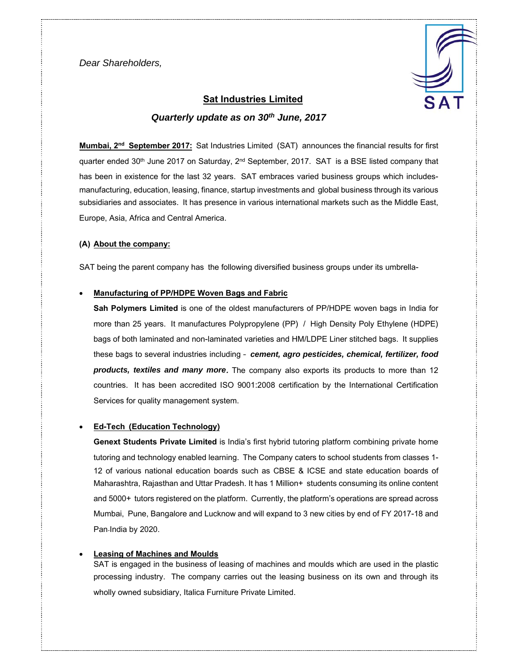*Dear Shareholders,* 



# **Sat Industries Limited**  *Quarterly update as on 30th June, 2017*

**Mumbai, 2nd September 2017:** Sat Industries Limited (SAT) announces the financial results for first quarter ended 30<sup>th</sup> June 2017 on Saturday, 2<sup>nd</sup> September, 2017. SAT is a BSE listed company that has been in existence for the last 32 years. SAT embraces varied business groups which includesmanufacturing, education, leasing, finance, startup investments and global business through its various subsidiaries and associates. It has presence in various international markets such as the Middle East, Europe, Asia, Africa and Central America.

#### **(A) About the company:**

SAT being the parent company has the following diversified business groups under its umbrella-

#### **Manufacturing of PP/HDPE Woven Bags and Fabric**

**Sah Polymers Limited** is one of the oldest manufacturers of PP/HDPE woven bags in India for more than 25 years. It manufactures Polypropylene (PP) / High Density Poly Ethylene (HDPE) bags of both laminated and non-laminated varieties and HM/LDPE Liner stitched bags. It supplies these bags to several industries including – *cement, agro pesticides, chemical, fertilizer, food products, textiles and many more***.** The company also exports its products to more than 12 countries. It has been accredited ISO 9001:2008 certification by the International Certification Services for quality management system.

#### **Ed-Tech (Education Technology)**

**Genext Students Private Limited** is India's first hybrid tutoring platform combining private home tutoring and technology enabled learning. The Company caters to school students from classes 1- 12 of various national education boards such as CBSE & ICSE and state education boards of Maharashtra, Rajasthan and Uttar Pradesh. It has 1 Million+ students consuming its online content and 5000+ tutors registered on the platform. Currently, the platform's operations are spread across Mumbai, Pune, Bangalore and Lucknow and will expand to 3 new cities by end of FY 2017-18 and Pan-India by 2020.

### **Leasing of Machines and Moulds**

SAT is engaged in the business of leasing of machines and moulds which are used in the plastic processing industry. The company carries out the leasing business on its own and through its wholly owned subsidiary, Italica Furniture Private Limited.